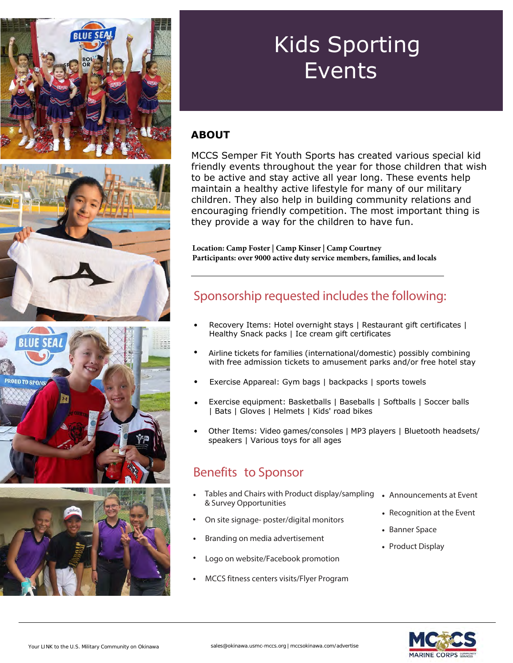

# Kids Sporting Events

#### **ABOUT**

MCCS Semper Fit Youth Sports has created various special kid friendly events throughout the year for those children that wish to be active and stay active all year long. These events help maintain a healthy active lifestyle for many of our military children. They also help in building community relations and encouraging friendly competition. The most important thing is they provide a way for the children to have fun.

**Location: Camp Foster | Camp Kinser | Camp Courtney Participants: over 9000 active duty service members, families, and locals**

### Sponsorship requested includes the following:

- Recovery Items: Hotel overnight stays | Restaurant gift certificates | Healthy Snack packs | Ice cream gift certificates
- Airline tickets for families (international/domestic) possibly combining with free admission tickets to amusement parks and/or free hotel stay
- Exercise Appareal: Gym bags | backpacks | sports towels
- Exercise equipment: Basketballs | Baseballs | Softballs | Soccer balls | Bats | Gloves | Helmets | Kids' road bikes
- Other Items: Video games/consoles | MP3 players | Bluetooth headsets/ speakers | Various toys for all ages

#### Benefits to Sponsor

- Tables and Chairs with Product display/sampling & Survey Opportunities
- On site signage- poster/digital monitors
- Branding on media advertisement
- Logo on website/Facebook promotion
- MCCS fitness centers visits/Flyer Program
- Announcements at Event
- Recognition at the Event
- Banner Space
- Product Display

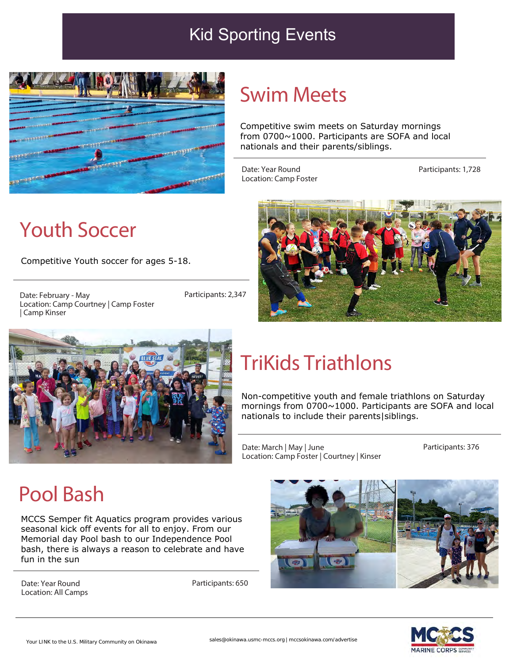### Kid Sporting Events



### Swim Meets

Competitive swim meets on Saturday mornings from 0700~1000. Participants are SOFA and local nationals and their parents/siblings.

Date: Year Round Location: Camp Foster Participants: 1,728



Competitive Youth soccer for ages 5-18.

Date: February - May Location: Camp Courtney | Camp Foster | Camp Kinser

Participants: 2,347





## TriKids Triathlons

Non-competitive youth and female triathlons on Saturday mornings from 0700~1000. Participants are SOFA and local nationals to include their parents|siblings.

Date: March | May | June Location: Camp Foster | Courtney | Kinser Participants: 376

## Pool Bash

MCCS Semper fit Aquatics program provides various seasonal kick off events for all to enjoy. From our Memorial day Pool bash to our Independence Pool bash, there is always a reason to celebrate and have fun in the sun

Date: Year Round Location: All Camps Participants: 650



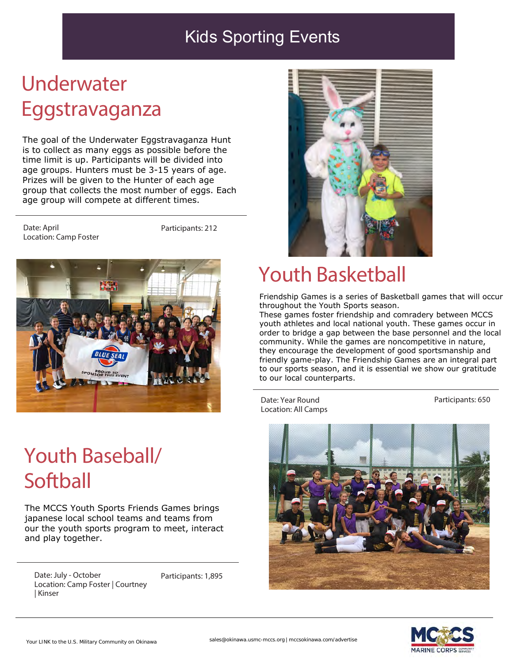### Kids Sporting Events

# Underwater Eggstravaganza

The goal of the Underwater Eggstravaganza Hunt is to collect as many eggs as possible before the time limit is up. Participants will be divided into age groups. Hunters must be 3-15 years of age. Prizes will be given to the Hunter of each age group that collects the most number of eggs. Each age group will compete at different times.

Date: April Location: Camp Foster

Participants: 212



## Youth Baseball/ **Softball**

The MCCS Youth Sports Friends Games brings japanese local school teams and teams from our the youth sports program to meet, interact and play together.

Date: July - October Location: Camp Foster | Courtney | Kinser

Participants: 1,895



### Youth Basketball

Friendship Games is a series of Basketball games that will occur throughout the Youth Sports season.

These games foster friendship and comradery between MCCS youth athletes and local national youth. These games occur in order to bridge a gap between the base personnel and the local community. While the games are noncompetitive in nature, they encourage the development of good sportsmanship and friendly game-play. The Friendship Games are an integral part to our sports season, and it is essential we show our gratitude to our local counterparts.

Date: Year Round Location: All Camps Participants: 650